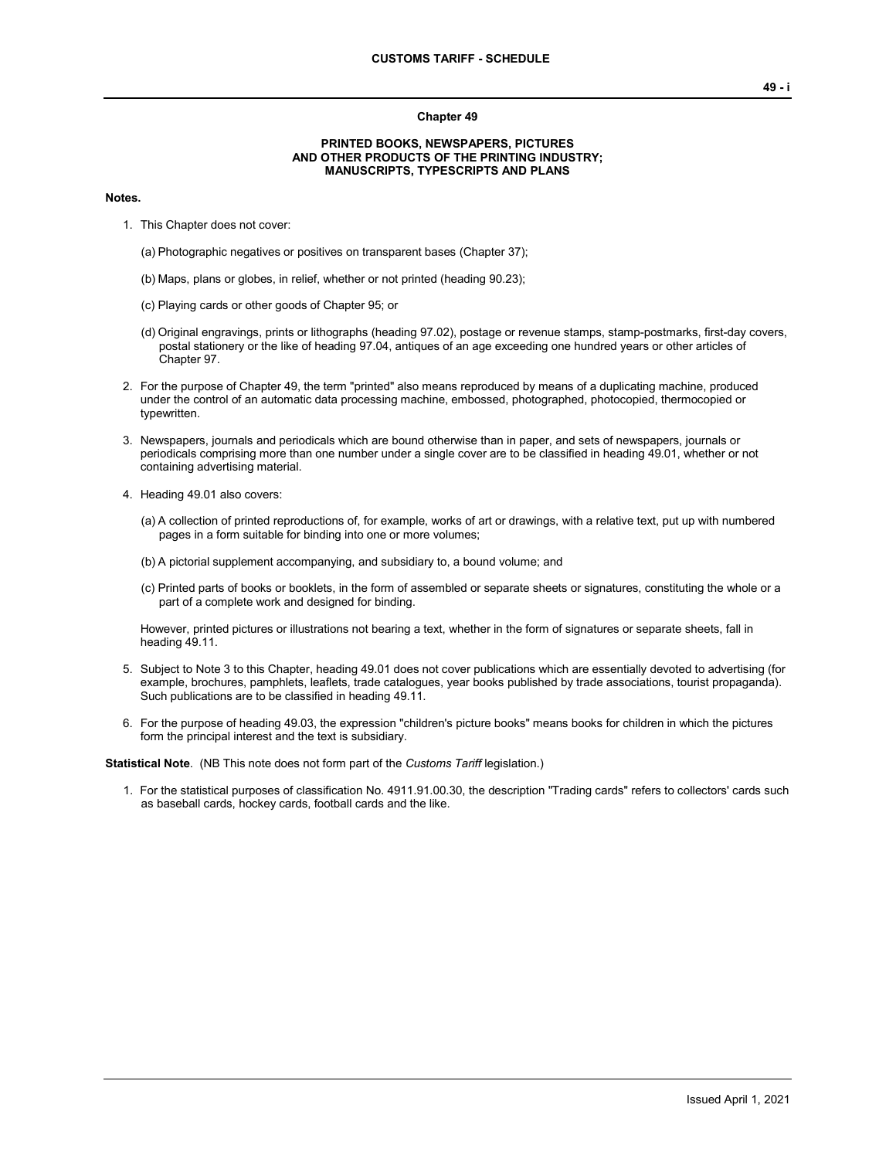## **Chapter 49**

## **PRINTED BOOKS, NEWSPAPERS, PICTURES AND OTHER PRODUCTS OF THE PRINTING INDUSTRY; MANUSCRIPTS, TYPESCRIPTS AND PLANS**

## **Notes.**

- 1. This Chapter does not cover:
	- (a) Photographic negatives or positives on transparent bases (Chapter 37);
	- (b) Maps, plans or globes, in relief, whether or not printed (heading 90.23);
	- (c) Playing cards or other goods of Chapter 95; or
	- (d) Original engravings, prints or lithographs (heading 97.02), postage or revenue stamps, stamp-postmarks, first-day covers, postal stationery or the like of heading 97.04, antiques of an age exceeding one hundred years or other articles of Chapter 97.
- 2. For the purpose of Chapter 49, the term "printed" also means reproduced by means of a duplicating machine, produced under the control of an automatic data processing machine, embossed, photographed, photocopied, thermocopied or typewritten.
- 3. Newspapers, journals and periodicals which are bound otherwise than in paper, and sets of newspapers, journals or periodicals comprising more than one number under a single cover are to be classified in heading 49.01, whether or not containing advertising material.
- 4. Heading 49.01 also covers:
	- (a) A collection of printed reproductions of, for example, works of art or drawings, with a relative text, put up with numbered pages in a form suitable for binding into one or more volumes;
	- (b) A pictorial supplement accompanying, and subsidiary to, a bound volume; and
	- (c) Printed parts of books or booklets, in the form of assembled or separate sheets or signatures, constituting the whole or a part of a complete work and designed for binding.

However, printed pictures or illustrations not bearing a text, whether in the form of signatures or separate sheets, fall in heading 49.11.

- 5. Subject to Note 3 to this Chapter, heading 49.01 does not cover publications which are essentially devoted to advertising (for example, brochures, pamphlets, leaflets, trade catalogues, year books published by trade associations, tourist propaganda). Such publications are to be classified in heading 49.11.
- 6. For the purpose of heading 49.03, the expression "children's picture books" means books for children in which the pictures form the principal interest and the text is subsidiary.

**Statistical Note**. (NB This note does not form part of the *Customs Tariff* legislation.)

1. For the statistical purposes of classification No. 4911.91.00.30, the description "Trading cards" refers to collectors' cards such as baseball cards, hockey cards, football cards and the like.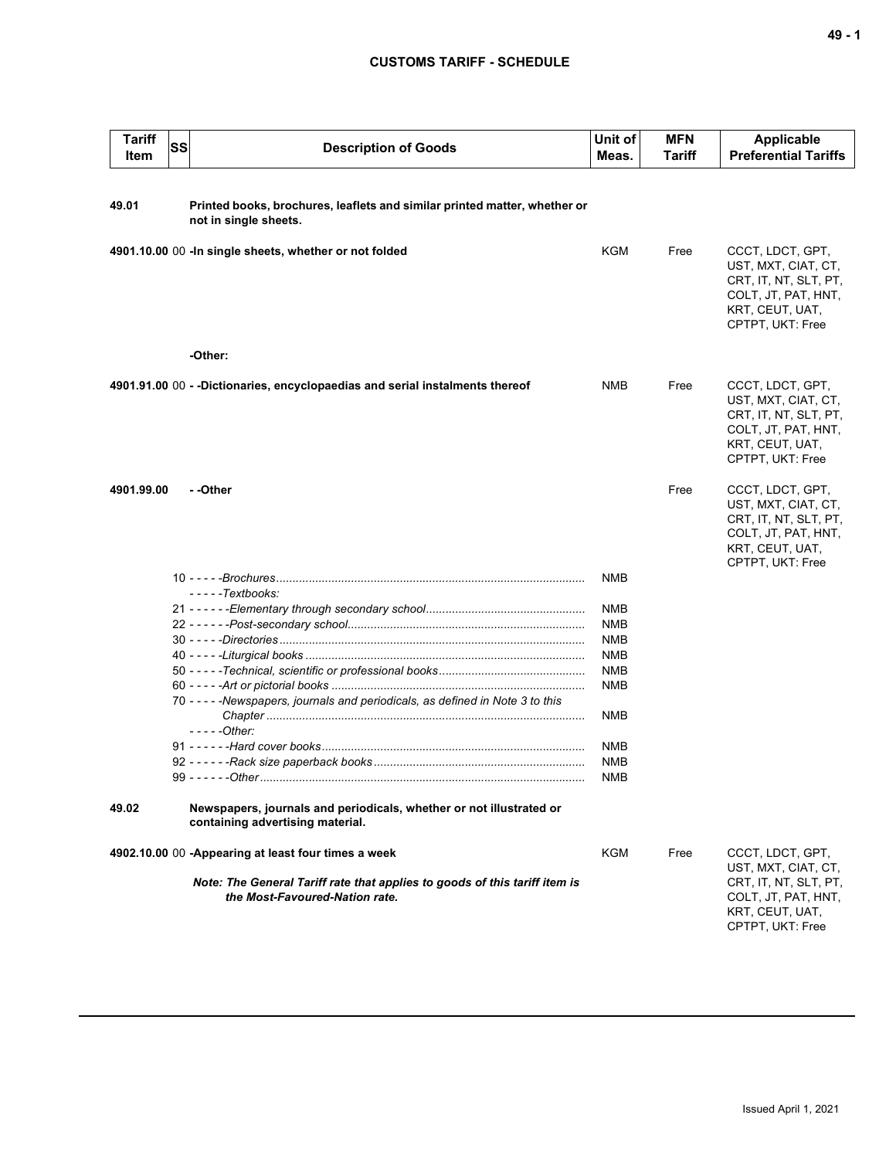## **CUSTOMS TARIFF - SCHEDULE**

| <b>Tariff</b><br>Item                               | SS | <b>Description of Goods</b>                                                                                  | Unit of<br>Meas.         | <b>MFN</b><br><b>Tariff</b> | Applicable<br><b>Preferential Tariffs</b>                                                                                      |
|-----------------------------------------------------|----|--------------------------------------------------------------------------------------------------------------|--------------------------|-----------------------------|--------------------------------------------------------------------------------------------------------------------------------|
|                                                     |    |                                                                                                              |                          |                             |                                                                                                                                |
| 49.01                                               |    | Printed books, brochures, leaflets and similar printed matter, whether or<br>not in single sheets.           |                          |                             |                                                                                                                                |
|                                                     |    | 4901.10.00 00 - In single sheets, whether or not folded                                                      | KGM                      | Free                        | CCCT, LDCT, GPT,<br>UST, MXT, CIAT, CT,<br>CRT, IT, NT, SLT, PT,<br>COLT, JT, PAT, HNT,<br>KRT, CEUT, UAT,<br>CPTPT, UKT: Free |
|                                                     |    | -Other:                                                                                                      |                          |                             |                                                                                                                                |
|                                                     |    | 4901.91.00 00 - -Dictionaries, encyclopaedias and serial instalments thereof                                 | NMB                      | Free                        | CCCT, LDCT, GPT,<br>UST, MXT, CIAT, CT,<br>CRT, IT, NT, SLT, PT,<br>COLT, JT, PAT, HNT,<br>KRT, CEUT, UAT,<br>CPTPT, UKT: Free |
| 4901.99.00                                          |    | - -Other                                                                                                     |                          | Free                        | CCCT, LDCT, GPT,<br>UST, MXT, CIAT, CT,<br>CRT, IT, NT, SLT, PT,<br>COLT, JT, PAT, HNT,<br>KRT, CEUT, UAT,<br>CPTPT, UKT: Free |
|                                                     |    |                                                                                                              | NMB                      |                             |                                                                                                                                |
|                                                     |    | - - - - - Textbooks:                                                                                         |                          |                             |                                                                                                                                |
|                                                     |    |                                                                                                              | <b>NMB</b>               |                             |                                                                                                                                |
|                                                     |    |                                                                                                              | <b>NMB</b>               |                             |                                                                                                                                |
|                                                     |    |                                                                                                              | <b>NMB</b>               |                             |                                                                                                                                |
|                                                     |    | 40 - - - - - Liturgical books ………………………………………………………………………                                                    | <b>NMB</b>               |                             |                                                                                                                                |
|                                                     |    |                                                                                                              | <b>NMB</b><br><b>NMB</b> |                             |                                                                                                                                |
|                                                     |    | 70 - - - - - Newspapers, journals and periodicals, as defined in Note 3 to this                              |                          |                             |                                                                                                                                |
|                                                     |    | - - - - - Other:                                                                                             | <b>NMB</b>               |                             |                                                                                                                                |
|                                                     |    |                                                                                                              | <b>NMB</b>               |                             |                                                                                                                                |
|                                                     |    |                                                                                                              | NMB                      |                             |                                                                                                                                |
|                                                     |    |                                                                                                              | <b>NMB</b>               |                             |                                                                                                                                |
| 49.02                                               |    | Newspapers, journals and periodicals, whether or not illustrated or<br>containing advertising material.      |                          |                             |                                                                                                                                |
| 4902.10.00 00 -Appearing at least four times a week |    | KGM                                                                                                          | Free                     | CCCT, LDCT, GPT,            |                                                                                                                                |
|                                                     |    | Note: The General Tariff rate that applies to goods of this tariff item is<br>the Most-Favoured-Nation rate. |                          |                             | UST, MXT, CIAT, CT,<br>CRT, IT, NT, SLT, PT,<br>COLT, JT, PAT, HNT,<br>KRT, CEUT, UAT,<br>CPTPT, UKT: Free                     |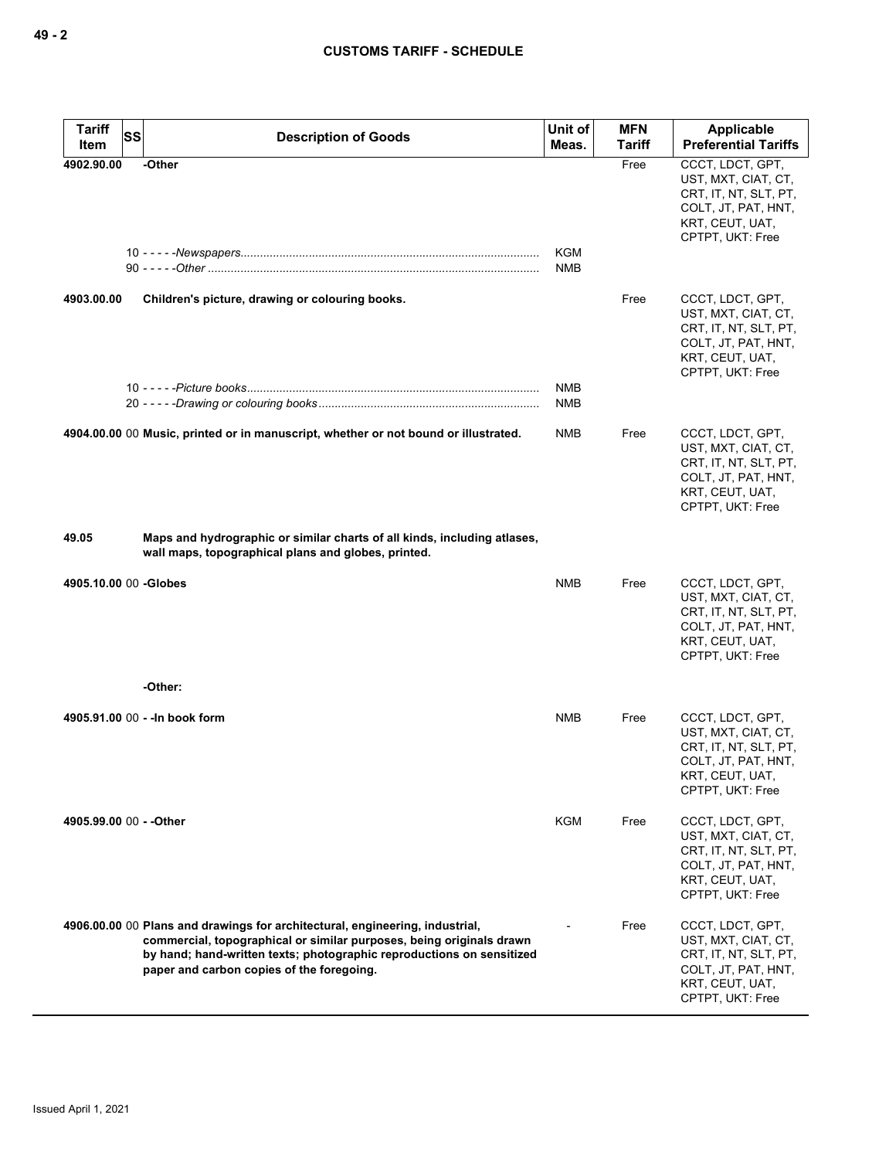| <b>Tariff</b><br><b>SS</b> | <b>Description of Goods</b>                                                                                                                                                                                                                                                | Unit of                  | <b>MFN</b>     | Applicable<br><b>Preferential Tariffs</b>                                                                                      |
|----------------------------|----------------------------------------------------------------------------------------------------------------------------------------------------------------------------------------------------------------------------------------------------------------------------|--------------------------|----------------|--------------------------------------------------------------------------------------------------------------------------------|
| Item<br>4902.90.00         | -Other                                                                                                                                                                                                                                                                     | Meas.                    | Tariff<br>Free | CCCT, LDCT, GPT,                                                                                                               |
|                            |                                                                                                                                                                                                                                                                            | <b>KGM</b><br><b>NMB</b> |                | UST, MXT, CIAT, CT,<br>CRT, IT, NT, SLT, PT,<br>COLT, JT, PAT, HNT,<br>KRT, CEUT, UAT,<br>CPTPT, UKT: Free                     |
| 4903.00.00                 | Children's picture, drawing or colouring books.                                                                                                                                                                                                                            |                          | Free           | CCCT, LDCT, GPT,<br>UST, MXT, CIAT, CT,<br>CRT, IT, NT, SLT, PT,<br>COLT, JT, PAT, HNT,<br>KRT, CEUT, UAT,<br>CPTPT, UKT: Free |
|                            |                                                                                                                                                                                                                                                                            | <b>NMB</b><br><b>NMB</b> |                |                                                                                                                                |
|                            | 4904.00.00 00 Music, printed or in manuscript, whether or not bound or illustrated.                                                                                                                                                                                        | <b>NMB</b>               | Free           | CCCT, LDCT, GPT,<br>UST, MXT, CIAT, CT,<br>CRT, IT, NT, SLT, PT,<br>COLT, JT, PAT, HNT,<br>KRT, CEUT, UAT,<br>CPTPT, UKT: Free |
| 49.05                      | Maps and hydrographic or similar charts of all kinds, including atlases,<br>wall maps, topographical plans and globes, printed.                                                                                                                                            |                          |                |                                                                                                                                |
| 4905.10.00 00 -Globes      |                                                                                                                                                                                                                                                                            | NMB                      | Free           | CCCT, LDCT, GPT,<br>UST, MXT, CIAT, CT,<br>CRT, IT, NT, SLT, PT,<br>COLT, JT, PAT, HNT,<br>KRT, CEUT, UAT,<br>CPTPT, UKT: Free |
|                            | -Other:                                                                                                                                                                                                                                                                    |                          |                |                                                                                                                                |
|                            | 4905.91.00 00 - - In book form                                                                                                                                                                                                                                             | <b>NMB</b>               | Free           | CCCT, LDCT, GPT,<br>UST, MXT, CIAT, CT,<br>CRT, IT, NT, SLT, PT,<br>COLT, JT, PAT, HNT,<br>KRT, CEUT, UAT,<br>CPTPT, UKT: Free |
| 4905.99.00 00 - - Other    |                                                                                                                                                                                                                                                                            | KGM                      | Free           | CCCT, LDCT, GPT,<br>UST, MXT, CIAT, CT,<br>CRT, IT, NT, SLT, PT,<br>COLT, JT, PAT, HNT,<br>KRT, CEUT, UAT,<br>CPTPT, UKT: Free |
|                            | 4906.00.00 00 Plans and drawings for architectural, engineering, industrial,<br>commercial, topographical or similar purposes, being originals drawn<br>by hand; hand-written texts; photographic reproductions on sensitized<br>paper and carbon copies of the foregoing. |                          | Free           | CCCT, LDCT, GPT,<br>UST, MXT, CIAT, CT,<br>CRT, IT, NT, SLT, PT,<br>COLT, JT, PAT, HNT,<br>KRT, CEUT, UAT,<br>CPTPT, UKT: Free |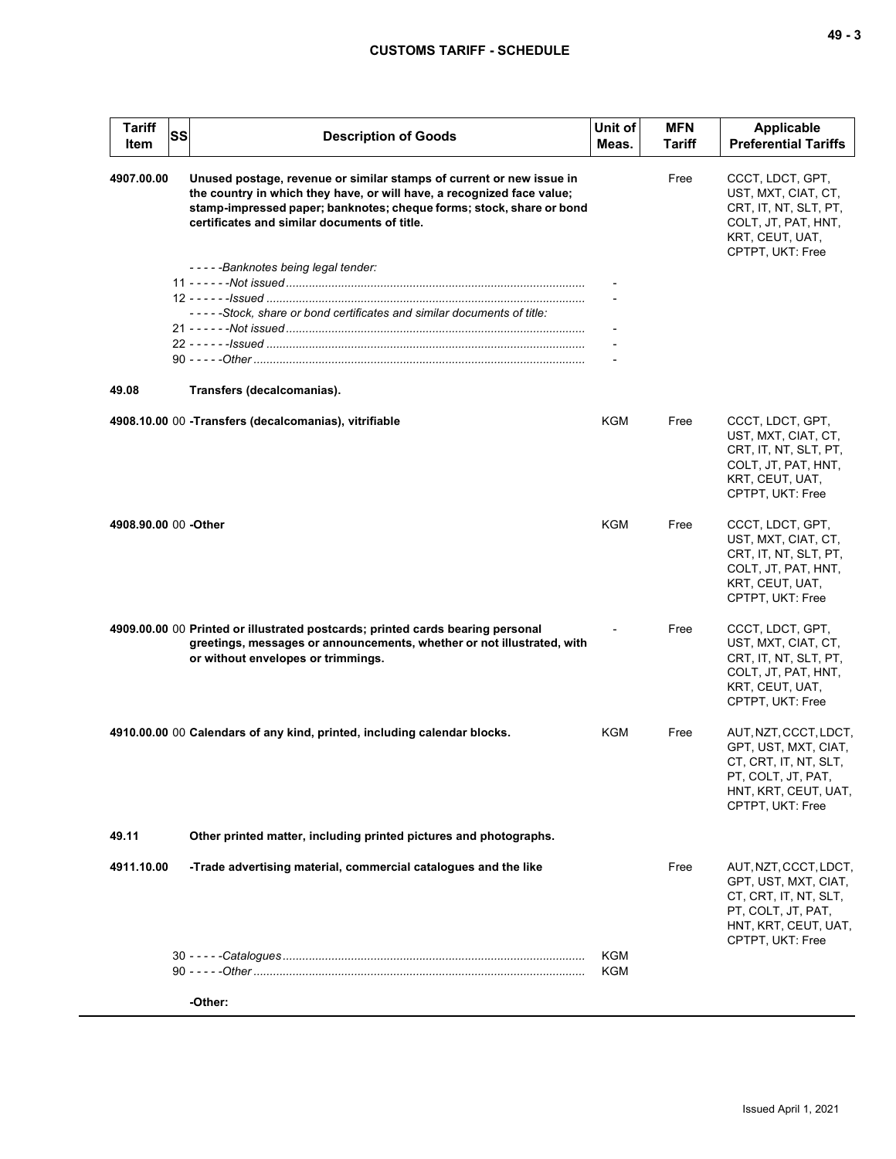| <b>Tariff</b><br>Item | <b>SS</b> | <b>Description of Goods</b>                                                                                                                                                                                                                                            | Unit of<br>Meas.         | <b>MFN</b><br>Tariff | Applicable<br><b>Preferential Tariffs</b>                                                                                                |
|-----------------------|-----------|------------------------------------------------------------------------------------------------------------------------------------------------------------------------------------------------------------------------------------------------------------------------|--------------------------|----------------------|------------------------------------------------------------------------------------------------------------------------------------------|
| 4907.00.00            |           | Unused postage, revenue or similar stamps of current or new issue in<br>the country in which they have, or will have, a recognized face value;<br>stamp-impressed paper; banknotes; cheque forms; stock, share or bond<br>certificates and similar documents of title. |                          | Free                 | CCCT, LDCT, GPT,<br>UST, MXT, CIAT, CT,<br>CRT, IT, NT, SLT, PT,<br>COLT, JT, PAT, HNT,<br>KRT, CEUT, UAT,<br>CPTPT, UKT: Free           |
|                       |           | -----Banknotes being legal tender:                                                                                                                                                                                                                                     |                          |                      |                                                                                                                                          |
|                       |           |                                                                                                                                                                                                                                                                        | $\overline{\phantom{a}}$ |                      |                                                                                                                                          |
|                       |           | -----Stock, share or bond certificates and similar documents of title:                                                                                                                                                                                                 |                          |                      |                                                                                                                                          |
|                       |           |                                                                                                                                                                                                                                                                        |                          |                      |                                                                                                                                          |
|                       |           |                                                                                                                                                                                                                                                                        |                          |                      |                                                                                                                                          |
|                       |           |                                                                                                                                                                                                                                                                        | $\overline{\phantom{a}}$ |                      |                                                                                                                                          |
| 49.08                 |           | Transfers (decalcomanias).                                                                                                                                                                                                                                             |                          |                      |                                                                                                                                          |
|                       |           | 4908.10.00 00 - Transfers (decalcomanias), vitrifiable                                                                                                                                                                                                                 | KGM                      | Free                 | CCCT, LDCT, GPT,<br>UST, MXT, CIAT, CT,<br>CRT, IT, NT, SLT, PT,<br>COLT, JT, PAT, HNT,<br>KRT, CEUT, UAT,<br>CPTPT, UKT: Free           |
| 4908.90.00 00 -Other  |           |                                                                                                                                                                                                                                                                        | <b>KGM</b>               | Free                 | CCCT, LDCT, GPT,<br>UST, MXT, CIAT, CT,<br>CRT, IT, NT, SLT, PT,<br>COLT, JT, PAT, HNT,<br>KRT, CEUT, UAT,<br>CPTPT, UKT: Free           |
|                       |           | 4909.00.00 00 Printed or illustrated postcards; printed cards bearing personal<br>greetings, messages or announcements, whether or not illustrated, with<br>or without envelopes or trimmings.                                                                         | $\overline{a}$           | Free                 | CCCT, LDCT, GPT,<br>UST, MXT, CIAT, CT,<br>CRT, IT, NT, SLT, PT,<br>COLT, JT, PAT, HNT,<br>KRT, CEUT, UAT,<br>CPTPT, UKT: Free           |
|                       |           | 4910.00.00 00 Calendars of any kind, printed, including calendar blocks.                                                                                                                                                                                               | KGM                      | Free                 | AUT, NZT, CCCT, LDCT,<br>GPT, UST, MXT, CIAT,<br>CT, CRT, IT, NT, SLT,<br>PT, COLT, JT, PAT,<br>HNT, KRT, CEUT, UAT,<br>CPTPT, UKT: Free |
| 49.11                 |           | Other printed matter, including printed pictures and photographs.                                                                                                                                                                                                      |                          |                      |                                                                                                                                          |
| 4911.10.00            |           | -Trade advertising material, commercial catalogues and the like                                                                                                                                                                                                        |                          | Free                 | AUT, NZT, CCCT, LDCT,<br>GPT, UST, MXT, CIAT,<br>CT, CRT, IT, NT, SLT,<br>PT, COLT, JT, PAT,<br>HNT, KRT, CEUT, UAT,<br>CPTPT, UKT: Free |
|                       |           |                                                                                                                                                                                                                                                                        | KGM<br>KGM               |                      |                                                                                                                                          |
|                       |           | -Other:                                                                                                                                                                                                                                                                |                          |                      |                                                                                                                                          |